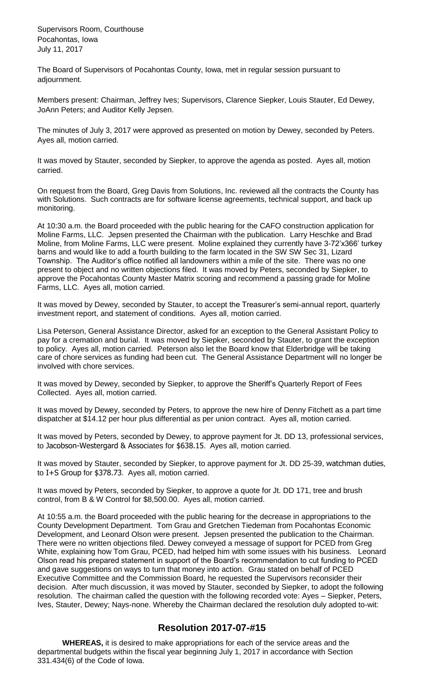Supervisors Room, Courthouse Pocahontas, Iowa July 11, 2017

The Board of Supervisors of Pocahontas County, Iowa, met in regular session pursuant to adjournment.

Members present: Chairman, Jeffrey Ives; Supervisors, Clarence Siepker, Louis Stauter, Ed Dewey, JoAnn Peters; and Auditor Kelly Jepsen.

The minutes of July 3, 2017 were approved as presented on motion by Dewey, seconded by Peters. Ayes all, motion carried.

It was moved by Stauter, seconded by Siepker, to approve the agenda as posted. Ayes all, motion carried.

On request from the Board, Greg Davis from Solutions, Inc. reviewed all the contracts the County has with Solutions. Such contracts are for software license agreements, technical support, and back up monitoring.

At 10:30 a.m. the Board proceeded with the public hearing for the CAFO construction application for Moline Farms, LLC. Jepsen presented the Chairman with the publication. Larry Heschke and Brad Moline, from Moline Farms, LLC were present. Moline explained they currently have 3-72'x366' turkey barns and would like to add a fourth building to the farm located in the SW SW Sec 31, Lizard Township. The Auditor's office notified all landowners within a mile of the site. There was no one present to object and no written objections filed. It was moved by Peters, seconded by Siepker, to approve the Pocahontas County Master Matrix scoring and recommend a passing grade for Moline Farms, LLC. Ayes all, motion carried.

It was moved by Dewey, seconded by Stauter, to accept the Treasurer's semi-annual report, quarterly investment report, and statement of conditions. Ayes all, motion carried.

Lisa Peterson, General Assistance Director, asked for an exception to the General Assistant Policy to pay for a cremation and burial. It was moved by Siepker, seconded by Stauter, to grant the exception to policy. Ayes all, motion carried. Peterson also let the Board know that Elderbridge will be taking care of chore services as funding had been cut. The General Assistance Department will no longer be involved with chore services.

It was moved by Dewey, seconded by Siepker, to approve the Sheriff's Quarterly Report of Fees Collected. Ayes all, motion carried.

It was moved by Dewey, seconded by Peters, to approve the new hire of Denny Fitchett as a part time dispatcher at \$14.12 per hour plus differential as per union contract. Ayes all, motion carried.

It was moved by Peters, seconded by Dewey, to approve payment for Jt. DD 13, professional services, to Jacobson-Westergard & Associates for \$638.15. Ayes all, motion carried.

It was moved by Stauter, seconded by Siepker, to approve payment for Jt. DD 25-39, watchman duties, to I+S Group for \$378.73. Ayes all, motion carried.

It was moved by Peters, seconded by Siepker, to approve a quote for Jt. DD 171, tree and brush control, from B & W Control for \$8,500.00. Ayes all, motion carried.

At 10:55 a.m. the Board proceeded with the public hearing for the decrease in appropriations to the County Development Department. Tom Grau and Gretchen Tiedeman from Pocahontas Economic Development, and Leonard Olson were present. Jepsen presented the publication to the Chairman. There were no written objections filed. Dewey conveyed a message of support for PCED from Greg White, explaining how Tom Grau, PCED, had helped him with some issues with his business. Leonard Olson read his prepared statement in support of the Board's recommendation to cut funding to PCED and gave suggestions on ways to turn that money into action. Grau stated on behalf of PCED Executive Committee and the Commission Board, he requested the Supervisors reconsider their decision. After much discussion, it was moved by Stauter, seconded by Siepker, to adopt the following resolution. The chairman called the question with the following recorded vote: Ayes – Siepker, Peters, Ives, Stauter, Dewey; Nays-none. Whereby the Chairman declared the resolution duly adopted to-wit:

## **Resolution 2017-07-#15**

**WHEREAS,** it is desired to make appropriations for each of the service areas and the departmental budgets within the fiscal year beginning July 1, 2017 in accordance with Section 331.434(6) of the Code of Iowa.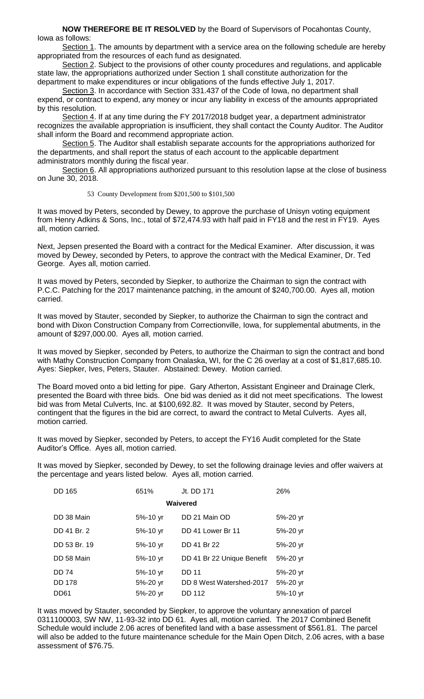**NOW THEREFORE BE IT RESOLVED** by the Board of Supervisors of Pocahontas County, Iowa as follows:

Section 1. The amounts by department with a service area on the following schedule are hereby appropriated from the resources of each fund as designated.

Section 2. Subject to the provisions of other county procedures and regulations, and applicable state law, the appropriations authorized under Section 1 shall constitute authorization for the department to make expenditures or incur obligations of the funds effective July 1, 2017.

Section 3. In accordance with Section 331.437 of the Code of Iowa, no department shall expend, or contract to expend, any money or incur any liability in excess of the amounts appropriated by this resolution.

Section 4. If at any time during the FY 2017/2018 budget year, a department administrator recognizes the available appropriation is insufficient, they shall contact the County Auditor. The Auditor shall inform the Board and recommend appropriate action.

Section 5. The Auditor shall establish separate accounts for the appropriations authorized for the departments, and shall report the status of each account to the applicable department administrators monthly during the fiscal year.

Section 6. All appropriations authorized pursuant to this resolution lapse at the close of business on June 30, 2018.

53 County Development from \$201,500 to \$101,500

It was moved by Peters, seconded by Dewey, to approve the purchase of Unisyn voting equipment from Henry Adkins & Sons, Inc., total of \$72,474.93 with half paid in FY18 and the rest in FY19. Ayes all, motion carried.

Next, Jepsen presented the Board with a contract for the Medical Examiner. After discussion, it was moved by Dewey, seconded by Peters, to approve the contract with the Medical Examiner, Dr. Ted George. Ayes all, motion carried.

It was moved by Peters, seconded by Siepker, to authorize the Chairman to sign the contract with P.C.C. Patching for the 2017 maintenance patching, in the amount of \$240,700.00. Ayes all, motion carried.

It was moved by Stauter, seconded by Siepker, to authorize the Chairman to sign the contract and bond with Dixon Construction Company from Correctionville, Iowa, for supplemental abutments, in the amount of \$297,000.00. Ayes all, motion carried.

It was moved by Siepker, seconded by Peters, to authorize the Chairman to sign the contract and bond with Mathy Construction Company from Onalaska, WI, for the C 26 overlay at a cost of \$1,817,685.10. Ayes: Siepker, Ives, Peters, Stauter. Abstained: Dewey. Motion carried.

The Board moved onto a bid letting for pipe. Gary Atherton, Assistant Engineer and Drainage Clerk, presented the Board with three bids. One bid was denied as it did not meet specifications. The lowest bid was from Metal Culverts, Inc. at \$100,692.82. It was moved by Stauter, second by Peters, contingent that the figures in the bid are correct, to award the contract to Metal Culverts. Ayes all, motion carried.

It was moved by Siepker, seconded by Peters, to accept the FY16 Audit completed for the State Auditor's Office. Ayes all, motion carried.

It was moved by Siepker, seconded by Dewey, to set the following drainage levies and offer waivers at the percentage and years listed below. Ayes all, motion carried.

| DD 165           | 651%         | Jt. DD 171                 | 26%      |  |  |  |
|------------------|--------------|----------------------------|----------|--|--|--|
| Waivered         |              |                            |          |  |  |  |
| DD 38 Main       | 5%-10 yr     | DD 21 Main OD              | 5%-20 yr |  |  |  |
| DD 41 Br. 2      | 5%-10 yr     | DD 41 Lower Br 11          | 5%-20 yr |  |  |  |
| DD 53 Br. 19     | 5%-10 yr     | DD 41 Br 22                | 5%-20 yr |  |  |  |
| DD 58 Main       | 5%-10 yr     | DD 41 Br 22 Unique Benefit | 5%-20 yr |  |  |  |
| <b>DD 74</b>     | $5% - 10$ yr | <b>DD 11</b>               | 5%-20 yr |  |  |  |
| <b>DD 178</b>    | 5%-20 yr     | DD 8 West Watershed-2017   | 5%-20 yr |  |  |  |
| DD <sub>61</sub> | 5%-20 yr     | <b>DD 112</b>              | 5%-10 yr |  |  |  |

It was moved by Stauter, seconded by Siepker, to approve the voluntary annexation of parcel 0311100003, SW NW, 11-93-32 into DD 61. Ayes all, motion carried. The 2017 Combined Benefit Schedule would include 2.06 acres of benefited land with a base assessment of \$561.81. The parcel will also be added to the future maintenance schedule for the Main Open Ditch, 2.06 acres, with a base assessment of \$76.75.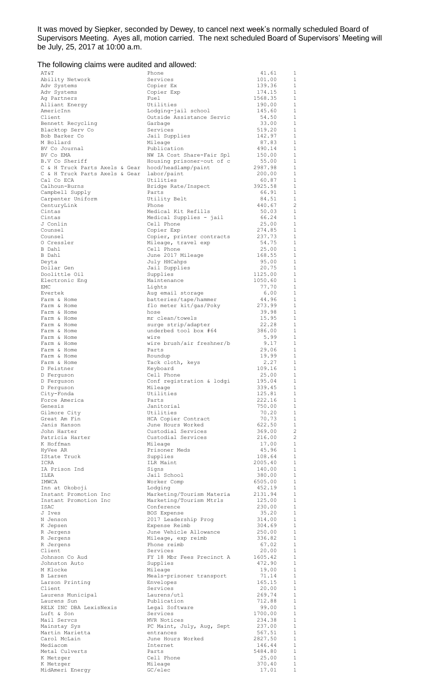It was moved by Siepker, seconded by Dewey, to cancel next week's normally scheduled Board of Supervisors Meeting. Ayes all, motion carried. The next scheduled Board of Supervisors' Meeting will be July, 25, 2017 at 10:00 a.m.

## The following claims were audited and allowed:

| AΤ&Τ                                           | Phone                                            | 41.61<br>1                                     |
|------------------------------------------------|--------------------------------------------------|------------------------------------------------|
| Ability Network                                | Services                                         | $\mathbf{1}$<br>101.00                         |
| Adv Systems                                    | Copier Ex                                        | 139.36<br>1                                    |
| Adv Systems                                    | Copier Exp                                       | $\mathbf{1}$<br>174.15                         |
| Ag Partners                                    | Fuel                                             | 1568.35<br>1                                   |
| Alliant Energy                                 | Utilities                                        | 1<br>190.00                                    |
| AmericInn<br>Client                            | Lodging-jail school<br>Outside Assistance Servic | 1<br>145.60<br>1                               |
|                                                | Garbage                                          | 54.50<br>1<br>33.00                            |
| Bennett Recycling<br>Blacktop Serv Co          | Services                                         | 519.20<br>1                                    |
| Bob Barker Co                                  | Jail Supplies                                    | $\mathbf{1}$<br>142.97                         |
| M Bollard                                      | Mileage                                          | 87.83<br>$\mathbf{1}$                          |
| BV Co Journal                                  | Publication                                      | $\mathbf{1}$<br>490.14                         |
| BV Co EMA                                      | NW IA Cost Share-Fair Spl                        | $\mathbf{1}$<br>150.00                         |
| B.V Co Sheriff                                 | Housing prisoner-out of c                        | $\mathbf{1}$<br>55.00                          |
| C & H Truck Parts Axels & Gear                 | hood/headlamp/paint                              | 2987.98<br>1                                   |
| C & H Truck Parts Axels & Gear                 | labor/paint                                      | $\mathbf{1}$<br>200.00                         |
| Cal Co ECA                                     | Utilities                                        | 60.87<br>1                                     |
| Calhoun-Burns                                  | Bridge Rate/Inspect                              | 3925.58<br>$\mathbf{1}$                        |
| Campbell Supply                                | Parts                                            | 66.91<br>1                                     |
| Carpenter Uniform                              | Utility Belt                                     | $\mathbf{1}$<br>84.51                          |
| CenturyLink                                    | Phone                                            | $\overline{c}$<br>440.67                       |
| Cintas                                         | Medical Kit Refills                              | $\mathbf{1}$<br>50.03                          |
| Cintas                                         | Medical Supplies - jail                          | 66.24<br>1                                     |
| J Conlin                                       | Cell Phone                                       | $\mathbf{1}$<br>25.00                          |
| Counsel                                        | Copier Exp                                       | 274.85<br>1                                    |
| Counsel                                        | Copier, printer contracts                        | $\mathbf{1}$<br>237.73                         |
| O Cressler                                     | Mileage, travel exp                              | 54.75<br>1                                     |
| B Dahl                                         | Cell Phone                                       | 25.00<br>1                                     |
| B Dahl                                         | June 2017 Mileage                                | 168.55<br>1                                    |
| Deyta                                          | July HHCahps                                     | 1<br>95.00                                     |
| Dollar Gen                                     | Jail Supplies                                    | 20.75<br>1                                     |
| Doolittle Oil                                  | Supplies                                         | $\mathbf{1}$<br>1125.00                        |
| Electronic Eng                                 | Maintenance                                      | 1050.60<br>1                                   |
| EMC                                            | Lights                                           | 77.70<br>1                                     |
| Evertek                                        | Aug email storage                                | 6.00<br>1                                      |
| Farm & Home                                    | batteries/tape/hammer                            | $\mathbf{1}$<br>44.96                          |
| Farm & Home                                    | flo meter kit/gas/Poky                           | 273.99<br>1                                    |
| Farm & Home                                    | hose                                             | 39.98<br>$\mathbf{1}$                          |
| Farm & Home                                    | mr clean/towels                                  | 15.95<br>1                                     |
| Farm & Home                                    | surge strip/adapter                              | 22.28<br>1<br>1                                |
| Farm & Home<br>Farm & Home                     | underbed tool box #64<br>wire                    | 386.00<br>5.99<br>1                            |
| Farm & Home                                    | wire brush/air freshner/b                        | 9.17<br>1                                      |
| Farm & Home                                    | Parts                                            | 29.06<br>1                                     |
| Farm & Home                                    | Roundup                                          | 19.99<br>1                                     |
| Farm & Home                                    | Tack cloth, keys                                 | 2.27<br>1                                      |
| D Feistner                                     | Keyboard                                         | 109.16<br>$\mathbf{1}$                         |
| D Ferquson                                     | Cell Phone                                       | 25.00<br>1                                     |
| D Ferguson                                     | Conf registration & lodgi                        | 195.04<br>$\overline{1}$                       |
| D Ferquson                                     | Mileage                                          | 1<br>339.45                                    |
| City-Fonda                                     | Utilities                                        | 125.81<br>-1                                   |
| Force America                                  | Parts                                            | 222.16<br>1                                    |
| Genesis                                        | Janitorial                                       | $\mathbf{1}$<br>750.00                         |
| Gilmore City                                   | Utilities                                        | 70.20<br>1                                     |
| Great Am Fin                                   | HCA Copier Contract                              | 70.73<br>1                                     |
| Janis Hanson                                   | June Hours Worked                                | 622.50<br>1                                    |
| John Harter                                    | Custodial Services                               | $\overline{c}$<br>369.00                       |
| Patricia Harter                                | Custodial Services                               | $\overline{c}$<br>216.00                       |
| K Hoffman                                      | Mileage                                          | $\mathbf{1}$<br>17.00                          |
| HyVee AR                                       | Prisoner Meds                                    | 45.96<br>$\mathbf{1}$                          |
| IState Truck                                   | Supplies                                         | $\mathbf{1}$<br>108.64                         |
| ICRA                                           | ILR Maint                                        | 2005.40<br>$\mathbf{1}$                        |
| IA Prison Ind                                  | Signs                                            | 1<br>140.00                                    |
| ILEA                                           | Jail School                                      | $\mathbf{1}$<br>380.00                         |
| IMWCA                                          | Worker Comp                                      | $\mathbf{1}$<br>6505.00                        |
| Inn at Okoboji                                 | Lodging                                          | $\mathbf{1}$<br>452.19<br>$\mathbf{1}$         |
| Instant Promotion Inc<br>Instant Promotion Inc | Marketing/Tourism Materia                        | 2131.94<br>$\mathbf{1}$                        |
| ISAC                                           | Marketing/Tourism Mtrls<br>Conference            | 125.00<br>$\mathbf{1}$<br>230.00               |
| J Ives                                         | BOS Expense                                      | 35.20<br>$\mathbf{1}$                          |
| N Jenson                                       | 2017 Leadership Prog                             | $\mathbf{1}$<br>314.00                         |
| K Jepsen                                       | Expense Reimb                                    | $\mathbf{1}$<br>304.69                         |
| R Jergens                                      | June Vehicle Allowance                           | $\mathbf{1}$<br>250.00                         |
| R Jergens                                      | Mileage, exp reimb                               | $\mathbf{1}$<br>336.82                         |
| R Jergens                                      | Phone reimb                                      | $\mathbf{1}$<br>67.02                          |
| Client                                         | Services                                         | 20.00<br>1                                     |
| Johnson Co Aud                                 | FY 18 Mbr Fees Precinct A                        | $\mathbf{1}$<br>1605.42                        |
| Johnston Auto                                  | Supplies                                         | 472.90<br>1                                    |
| M Klocke                                       | Mileage                                          | $\mathbf{1}$<br>19.00                          |
| <b>B</b> Larsen                                | Meals-prisoner transport                         | $\mathbf{1}$<br>71.14                          |
| Larson Printing                                | Envelopes                                        | $\mathbf{1}$<br>165.15                         |
| Client                                         | Services                                         | 20.00<br>1                                     |
| Laurens Municipal                              | Laurens/utl                                      | $\mathbf{1}$<br>269.74                         |
| Laurens Sun                                    | Publication                                      | 712.88<br>1                                    |
| RELX INC DBA LexisNexis                        | Legal Software                                   | $\mathbf{1}$<br>99.00                          |
| Luft & Son                                     | Services                                         | 1700.00<br>$\mathbf{1}$                        |
| Mail Servcs                                    | MVR Notices                                      | 234.38<br>$\mathbf{1}$                         |
| Mainstay Sys                                   | PC Maint, July, Aug, Sept                        | $\mathbf{1}$<br>237.00                         |
| Martin Marietta                                | entrances                                        | 567.51<br>1                                    |
| Carol McLain                                   | June Hours Worked                                | $\mathbf{1}$<br>2827.50                        |
| Mediacom                                       | Internet                                         | 146.44<br>1                                    |
| Metal Culverts                                 | Parts                                            | $\mathbf{1}$<br>5484.80                        |
| K Metzger                                      | Cell Phone                                       | $\mathbf{1}$<br>25.00                          |
| K Metzger<br>MidAmeri Energy                   | Mileage<br>GC/elec                               | $\mathbf{1}$<br>370.40<br>$\mathbf 1$<br>17.01 |
|                                                |                                                  |                                                |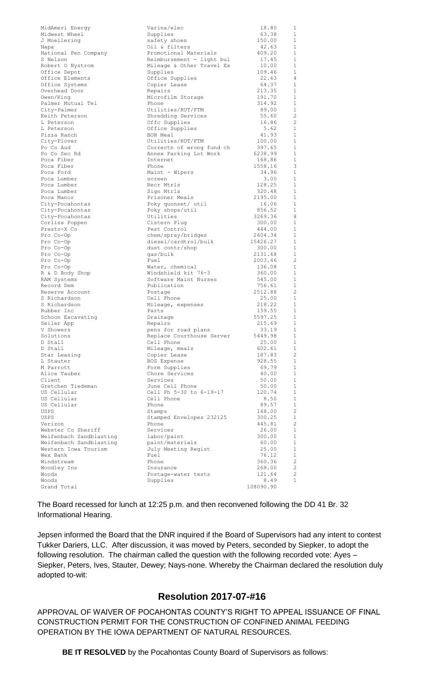| MidAmeri Energy         | Varina/elec               | 18.80     | 1              |
|-------------------------|---------------------------|-----------|----------------|
| Midwest Wheel           | Supplies                  | 63.38     | 1              |
| J Moellering            | safety shoes              | 150.00    | $\mathbf{1}$   |
| Napa                    | Oil & filters             | 42.63     | $\mathbf{1}$   |
| National Pen Company    | Promotional Materials     | 409.20    | 1              |
| S Nelson                |                           | 17.45     | $\mathbf{1}$   |
|                         | Reimbursement - light bul |           |                |
| Robert O Nystrom        | Mileage & Other Travel Ex | 10.00     | 1              |
| Office Depot            | Supplies                  | 109.46    | $\mathbf{1}$   |
| Office Elements         | Office Supplies           | 22.63     | 4              |
| Office Systems          | Copier Lease              | 64.37     | $\mathbf{1}$   |
| Overhead Door           | Repairs                   | 213.35    | 1              |
| Owen/King               | Microfilm Storage         | 191.70    | $\mathbf{1}$   |
| Palmer Mutual Tel       | Phone                     | 314.92    | 1              |
| City-Palmer             | Utilities/RUT/FTM         | 89.00     | 1              |
| Keith Peterson          | Shredding Services        |           | $\overline{c}$ |
|                         |                           | 55.60     |                |
| L Peterson              | Offc Supplies             | 16.86     | $\overline{c}$ |
| L Peterson              | Office Supplies           | 5.62      | $\mathbf{1}$   |
| Pizza Ranch             | BOH Meal                  | 41.93     | $\mathbf{1}$   |
| City-Plover             | Utilities/RUT/FTM         | 100.00    | 1              |
| Po Co Aud               | Correctn of wrong fund ch | 397.65    | 1              |
| Po Co Sec Rd            | Annex Parking Lot Work    | 6238.99   | $\mathbf{1}$   |
| Poca Fiber              | Internet                  | 168.86    | 1              |
| Poca Fiber              | Phone                     | 1558.16   | 3              |
| Poca Ford               | Maint - Wipers            | 34.96     | 1              |
| Poca Lumber             |                           |           | 1              |
|                         | screen                    | 3.00      |                |
| Poca Lumber             | Recr Mtrls                | 128.25    | 1              |
| Poca Lumber             | Sign Mtrls                | 320.48    | $\mathbf{1}$   |
| Poca Manor              | Prisoner Meals            | 2195.00   | 1              |
| City-Pocahontas         | Poky quonset/ util        | 16.06     | $\mathbf{1}$   |
| City-Pocahontas         | Poky shops/util           | 856.52    | 1              |
| City-Pocahontas         | Utilities                 | 3269.36   | 8              |
| Corliss Poppen          | Cistern Plug              | 300.00    | 1              |
| Presto-X Co             | Pest Control              | 444.00    | $\mathbf{1}$   |
| Pro Co-Op               | chem/spray/bridges        | 2604.34   | 1              |
|                         |                           | 15426.27  | $\mathbf{1}$   |
| Pro Co-Op               | diesel/cardtrol/bulk      |           |                |
| Pro Co-Op               | dust contr/shop           | 300.00    | 1              |
| Pro Co-Op               | gas/bulk                  | 2131.68   | $\mathbf{1}$   |
| Pro Co-Op               | Fuel                      | 2003.46   | $\overline{2}$ |
| Pro Co-Op               | Water, chemical           | 136.08    | $\mathbf{1}$   |
| R & D Body Shop         | Windshield kit 76-3       | 360.00    | 1              |
| RAM Systems             | Software Maint Nurses     | 545.00    | $\mathbf{1}$   |
| Record Dem              | Publication               | 756.61    | 1              |
| Reserve Account         | Postage                   | 2512.88   | $\overline{c}$ |
| S Richardson            | Cell Phone                | 25.00     | 1              |
| S Richardson            |                           | 218.22    | $\mathbf{1}$   |
|                         | Mileage, expenses         |           | 1              |
| Rubber Inc              | Parts                     | 159.55    |                |
| Schoon Excavating       | Drainage                  | 5597.25   | 1              |
| Seiler App              | Repairs                   | 215.69    | 1              |
| V Showers               | pens for road plans       | 33.19     | $\mathbf 1$    |
| Solutions               | Replace Courthouse Server | 5449.98   | 1              |
| D Stall                 | Cell Phone                | 25.00     | $\mathbf{1}$   |
| D Stall                 | Mileage, meals            | 602.61    | 1              |
| Star Leasing            | Copier Lease              | 187.83    | $\overline{c}$ |
| L Stauter               | BOS Expense               | 928.55    | 1              |
| M Parrott               | Form Supplies             | 69.79     | 1              |
| Alice Tauber            | Chore Services            | 40.00     | 1              |
| Client                  | Services                  |           | 1              |
|                         |                           | 50.00     |                |
| Gretchen Tiedeman       | June Cell Phone           | 50.00     | 1              |
| US Cellular             | Cell Ph 5-30 to 6-19-17   | 120.74    | 1              |
| US Cellular             | Cell Phone                | 8.50      | 1              |
| US Cellular             | Phone                     | 89.57     | 1              |
| USPS                    | Stamps                    | 168.00    | $\overline{c}$ |
| USPS                    | Stamped Envelopes 232125  | 300.25    | 1              |
| Verizon                 | Phone                     | 445.81    | $\overline{c}$ |
| Webster Co Sheriff      | Services                  | 26.00     | 1              |
| Weifenbach Sandblasting | labor/paint               | 300.00    | 1              |
| Weifenbach Sandblasting | paint/materials           | 60.00     | 1              |
| Western Iowa Tourism    | July Meeting Regist       | 25.00     | 1              |
|                         |                           |           |                |
| Wex Bank                | Fuel                      | 76.12     | 1              |
| Windstream              | Phone                     | 360.36    | $\overline{c}$ |
| Woodley Ins             | Insurance                 | 268.00    | 2              |
| Woods                   | Postage-water tests       | 121.64    | $\overline{c}$ |
| Woods                   | Supplies                  | 8.49      | 1              |
| Grand Total             |                           | 108090.90 |                |
|                         |                           |           |                |

The Board recessed for lunch at 12:25 p.m. and then reconvened following the DD 41 Br. 32 Informational Hearing.

Jepsen informed the Board that the DNR inquired if the Board of Supervisors had any intent to contest Tukker Dariers, LLC. After discussion, it was moved by Peters, seconded by Siepker, to adopt the following resolution. The chairman called the question with the following recorded vote: Ayes – Siepker, Peters, Ives, Stauter, Dewey; Nays-none. Whereby the Chairman declared the resolution duly adopted to-wit:

## **Resolution 2017-07-#16**

APPROVAL OF WAIVER OF POCAHONTAS COUNTY'S RIGHT TO APPEAL ISSUANCE OF FINAL CONSTRUCTION PERMIT FOR THE CONSTRUCTION OF CONFINED ANIMAL FEEDING OPERATION BY THE IOWA DEPARTMENT OF NATURAL RESOURCES.

**BE IT RESOLVED** by the Pocahontas County Board of Supervisors as follows: